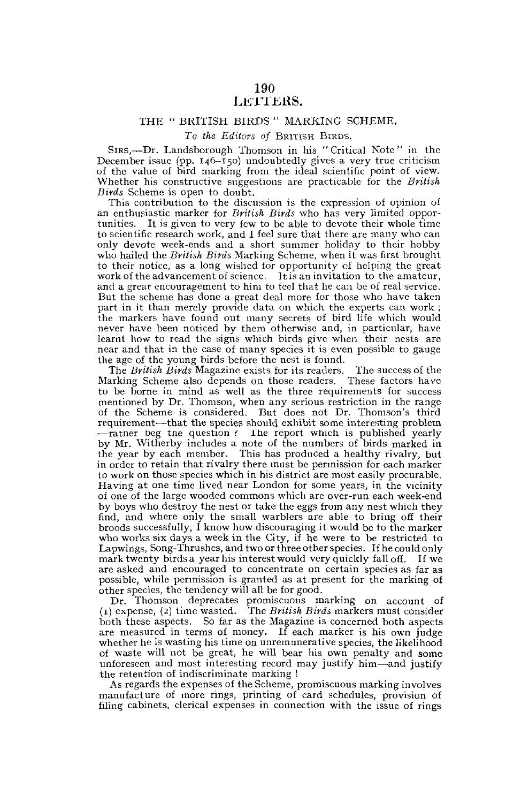# 190 LETTERS.

## THE " BRITISH BIRDS " MARKING SCHEME.

### *To the Editors of* BRITISH BIRDS.

SIRS,—Dr. Landsborough Thomson in his "Critical Note " in the December issue (pp. 146-150) undoubtedly gives a very true criticism of the value of bird marking from the ideal scientific point of view. Whether his constructive suggestions are practicable for the *British Birds* Scheme is open to doubt.

This contribution to the discussion is the expression of opinion of an enthusiastic marker for *British Birds* who has very limited opportunities. It is given to very few to be able to devote their whole time to scientific research work, and I feel sure that there are many who can only devote week-ends and a short summer holiday to their hobby who hailed the *British Birds* Marking Scheme, when it was first brought to their notice, as a long wished for opportunity of helping the great work of the advancement of science. It is an invitation to the amateur, and a great encouragement to him to feel that he can be of real service. But the scheme has done a great deal more for those who have taken part in it than merely provide data on which the experts can work ; the markers have found out many secrets of bird life which would never have been noticed by them otherwise and, in particular, have learnt how to read the signs which birds give when their nests are near and that in the case of many species it is even possible to gauge the age of the young birds before the nest is found.

The *British Birds* Magazine exists for its readers. The success of the Marking Scheme also depends on those readers. These factors have to be borne in mind as well as the three requirements for success mentioned by Dr. Thomson, when any serious restriction in the range of the Scheme is considered. But does not Dr. Thomson's third requirement-—that the species should exhibit some interesting problem •—ratner Deg tne question .' the report which is published yearly by Mr. Witherby includes a note of the numbers of birds marked in the year by each member. This has produced a healthy rivalry, but in order to retain that rivalry there must be permission for each marker to work on those species which in his district are most easily procurable. Having at one time lived near London for some years, in the vicinity of one of the large wooded commons which are over-run each week-end by boys who destroy the nest or take the eggs from any nest which they find, and where only the small warblers are able to bring off their broods successfully, I know how discouraging it would be to the marker who works six days a week in the City, if he were to be restricted to Lapwings, Song-Thrushes, and two or three other species. If he could only mark twenty birds a year his interest would very quickly fall off. If we are asked and encouraged to concentrate on certain species as far as possible, while permission is granted as at present for the marking of other species, the tendency will all be for good.

Dr. Thomson deprecates promiscuous marking on account of (1) expense, (2) time wasted. The *British Birds* markers must consider both these aspects. So far as the Magazine is concerned both aspects are measured in terms of money. If each marker is his own judge whether he is wasting his time on unremunerative species, the likelihood of waste will not be great, he will bear his own penalty and some unforeseen and most interesting record may justify him—and justify the retention of indiscriminate marking !

As regards the expenses of the Scheme, promiscuous marking involves manufacture of more rings, printing of card schedules, provision of filing cabinets, clerical expenses in connection with the issue of rings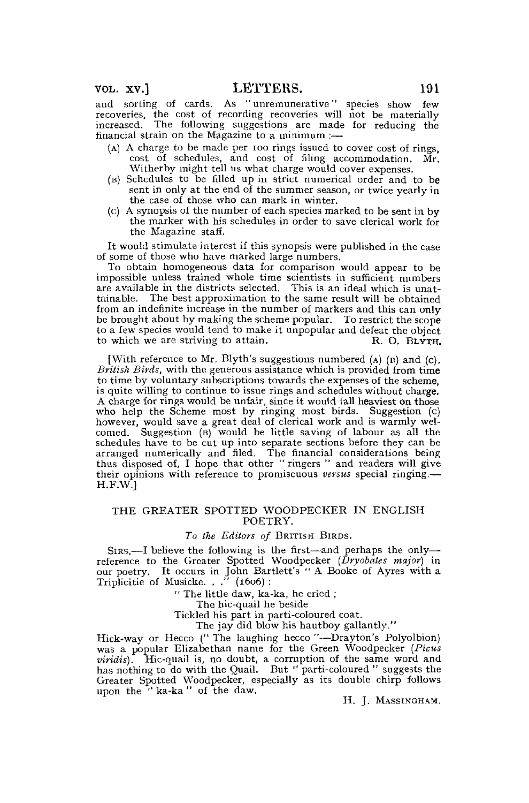and sorting of cards. As " unremunerative" species show few recoveries, the cost of recording recoveries will not be materially increased. The following suggestions are made for reducing the financial strain on the Magazine to a minimum  $:$ 

- (A) A charge to be made per 100 rings issued to cover cost of rings, cost of schedules, and cost of filing accommodation. Mr. Witherby might tell us what charge would cover expenses.
- (B) Schedules to be filled up in strict numerical order and to be sent in only at the end of the summer season, or twice yearly in the case of those who can mark in winter.
- (c) A synopsis of the number of each species marked to be sent in by the marker with his schedules in order to save clerical work for the Magazine staff.

It would stimulate interest if this synopsis were published in the case of some of those who have marked large numbers.

To obtain homogeneous data for comparison would appear to be impossible unless trained whole time scientists in sufficient numbers are available in the districts selected. This is an ideal which is unattainable. The best approximation to the same result will be obtained from an indefinite increase in the number of markers and this can only be brought about by making the scheme popular. To restrict the scope to a few species would tend to make it unpopular and defeat the object to which we are striving to attain. R. O. BLYTH.

[With reference to Mr. Blyth's suggestions numbered (A) (B) and (c). *British Birds,* with the generous assistance which is provided from time to time by voluntary subscriptions towards the expenses of the scheme, is quite willing to continue to issue rings and schedules without charge. A charge for rings would be unfair, since it would fall heaviest on those who help the Scheme most by ringing most birds. Suggestion (c) however, would save a great deal of clerical work and is warmly wel-comed. Suggestion (B) would be little saving of labour as all the schedules have to be cut up into separate sections before they can be arranged numerically and filed. The financial considerations being thus disposed of, I hope that other "ringers" and readers will give their opinions with reference to promiscuous *versus* special ringing.— H.F.W.]

## THE GREATER SPOTTED WOODPECKER IN ENGLISH POETRY.

### *To the Editors of* BRITISH BIRDS.

SIRS,—I believe the following is the first—and perhaps the only— reference to the Greater Spotted Woodpecker *(Dryobates major)* in our poetry. It occurs in John Bartlett's " A Booke of Ayres with a Triplicitie of Musicke. . ." (1606) :

" The little daw, ka-ka, he cried ;

The hic-quail he beside

Tickled his part in parti-coloured coat.

The jay did blow his hautboy gallantly."

Hick-way or Hecco (" The laughing hecco "—Drayton's Polyolbion) was a popular Elizabethan name for the Green Woodpecker *(Picus viridis).* Hic-quail is, no doubt, a corruption of the same word and has nothing to do with the Quail. But "parti-coloured" suggests the Greater Spotted Woodpecker, especially as its double chirp follows upon the '' ka-ka " of the daw.

H. J. MASSINGHAM.